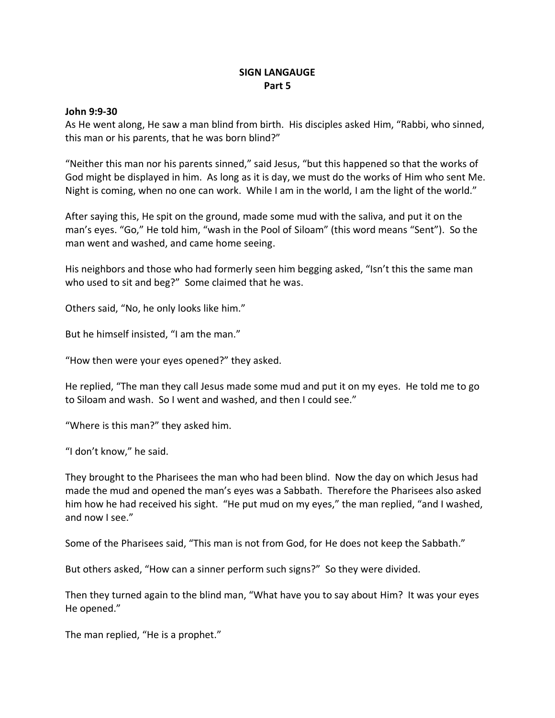## **SIGN LANGAUGE Part 5**

## **John 9:9-30**

As He went along, He saw a man blind from birth. His disciples asked Him, "Rabbi, who sinned, this man or his parents, that he was born blind?"

"Neither this man nor his parents sinned," said Jesus, "but this happened so that the works of God might be displayed in him. As long as it is day, we must do the works of Him who sent Me. Night is coming, when no one can work. While I am in the world, I am the light of the world."

After saying this, He spit on the ground, made some mud with the saliva, and put it on the man's eyes. "Go," He told him, "wash in the Pool of Siloam" (this word means "Sent"). So the man went and washed, and came home seeing.

His neighbors and those who had formerly seen him begging asked, "Isn't this the same man who used to sit and beg?" Some claimed that he was.

Others said, "No, he only looks like him."

But he himself insisted, "I am the man."

"How then were your eyes opened?" they asked.

He replied, "The man they call Jesus made some mud and put it on my eyes. He told me to go to Siloam and wash. So I went and washed, and then I could see."

"Where is this man?" they asked him.

"I don't know," he said.

They brought to the Pharisees the man who had been blind. Now the day on which Jesus had made the mud and opened the man's eyes was a Sabbath. Therefore the Pharisees also asked him how he had received his sight. "He put mud on my eyes," the man replied, "and I washed, and now I see."

Some of the Pharisees said, "This man is not from God, for He does not keep the Sabbath."

But others asked, "How can a sinner perform such signs?" So they were divided.

Then they turned again to the blind man, "What have you to say about Him? It was your eyes He opened."

The man replied, "He is a prophet."